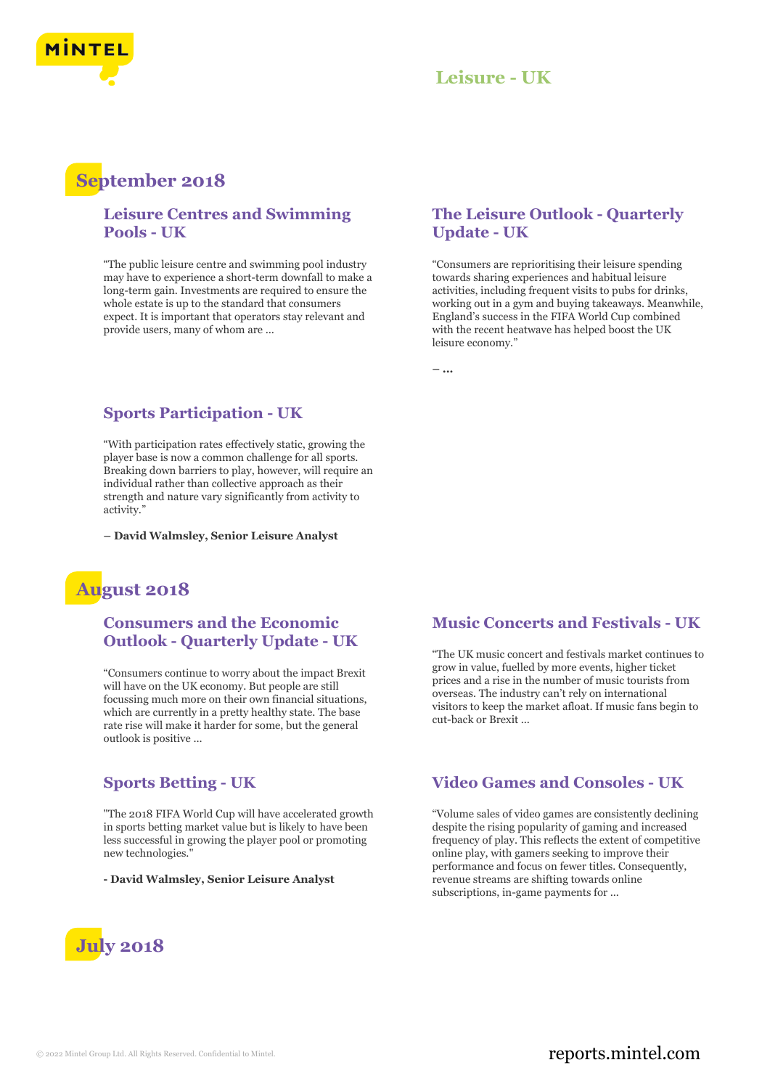

## **Leisure - UK**

# **September 2018**

#### **Leisure Centres and Swimming Pools - UK**

"The public leisure centre and swimming pool industry may have to experience a short-term downfall to make a long-term gain. Investments are required to ensure the whole estate is up to the standard that consumers expect. It is important that operators stay relevant and provide users, many of whom are ...

#### **The Leisure Outlook - Quarterly Update - UK**

"Consumers are reprioritising their leisure spending towards sharing experiences and habitual leisure activities, including frequent visits to pubs for drinks, working out in a gym and buying takeaways. Meanwhile, England's success in the FIFA World Cup combined with the recent heatwave has helped boost the UK leisure economy."

**– ...**

#### **Sports Participation - UK**

"With participation rates effectively static, growing the player base is now a common challenge for all sports. Breaking down barriers to play, however, will require an individual rather than collective approach as their strength and nature vary significantly from activity to activity.'

**– David Walmsley, Senior Leisure Analyst**

# **August 2018**

#### **Consumers and the Economic Outlook - Quarterly Update - UK**

"Consumers continue to worry about the impact Brexit will have on the UK economy. But people are still focussing much more on their own financial situations, which are currently in a pretty healthy state. The base rate rise will make it harder for some, but the general outlook is positive ...

#### **Sports Betting - UK**

"The 2018 FIFA World Cup will have accelerated growth in sports betting market value but is likely to have been less successful in growing the player pool or promoting new technologies."

**- David Walmsley, Senior Leisure Analyst**



#### **Music Concerts and Festivals - UK**

"The UK music concert and festivals market continues to grow in value, fuelled by more events, higher ticket prices and a rise in the number of music tourists from overseas. The industry can't rely on international visitors to keep the market afloat. If music fans begin to cut-back or Brexit ...

#### **Video Games and Consoles - UK**

"Volume sales of video games are consistently declining despite the rising popularity of gaming and increased frequency of play. This reflects the extent of competitive online play, with gamers seeking to improve their performance and focus on fewer titles. Consequently, revenue streams are shifting towards online subscriptions, in-game payments for ...

### © 2022 Mintel Group Ltd. All Rights Reserved. Confidential to Mintel.  $\blacksquare$  reports.mintel.com